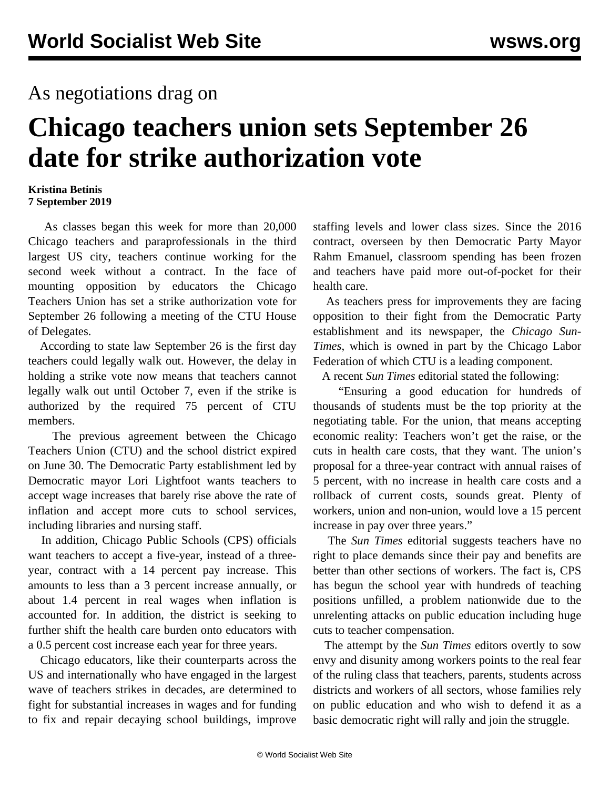## As negotiations drag on

## **Chicago teachers union sets September 26 date for strike authorization vote**

## **Kristina Betinis 7 September 2019**

 As classes began this week for more than 20,000 Chicago teachers and paraprofessionals in the third largest US city, teachers continue working for the second week without a contract. In the face of mounting opposition by educators the Chicago Teachers Union has set a strike authorization vote for September 26 following a meeting of the CTU House of Delegates.

 According to state law September 26 is the first day teachers could legally walk out. However, the delay in holding a strike vote now means that teachers cannot legally walk out until October 7, even if the strike is authorized by the required 75 percent of CTU members.

 The previous agreement between the Chicago Teachers Union (CTU) and the school district expired on June 30. The Democratic Party establishment led by Democratic mayor Lori Lightfoot wants teachers to accept wage increases that barely rise above the rate of inflation and accept more cuts to school services, including libraries and nursing staff.

 In addition, Chicago Public Schools (CPS) officials want teachers to accept a five-year, instead of a threeyear, contract with a 14 percent pay increase. This amounts to less than a 3 percent increase annually, or about 1.4 percent in real wages when inflation is accounted for. In addition, the district is seeking to further shift the health care burden onto educators with a 0.5 percent cost increase each year for three years.

 Chicago educators, like their counterparts across the US and internationally who have engaged in the largest wave of teachers strikes in decades, are determined to fight for substantial increases in wages and for funding to fix and repair decaying school buildings, improve

staffing levels and lower class sizes. Since the 2016 contract, overseen by then Democratic Party Mayor Rahm Emanuel, classroom spending has been frozen and teachers have paid more out-of-pocket for their health care.

 As teachers press for improvements they are facing opposition to their fight from the Democratic Party establishment and its newspaper, the *Chicago Sun-Times*, which is owned in part by the Chicago Labor Federation of which CTU is a leading component.

A recent *Sun Times* editorial stated the following:

 "Ensuring a good education for hundreds of thousands of students must be the top priority at the negotiating table. For the union, that means accepting economic reality: Teachers won't get the raise, or the cuts in health care costs, that they want. The union's proposal for a three-year contract with annual raises of 5 percent, with no increase in health care costs and a rollback of current costs, sounds great. Plenty of workers, union and non-union, would love a 15 percent increase in pay over three years."

 The *Sun Times* editorial suggests teachers have no right to place demands since their pay and benefits are better than other sections of workers. The fact is, CPS has begun the school year with hundreds of teaching positions unfilled, a problem nationwide due to the unrelenting attacks on public education including huge cuts to teacher compensation.

 The attempt by the *Sun Times* editors overtly to sow envy and disunity among workers points to the real fear of the ruling class that teachers, parents, students across districts and workers of all sectors, whose families rely on public education and who wish to defend it as a basic democratic right will rally and join the struggle.